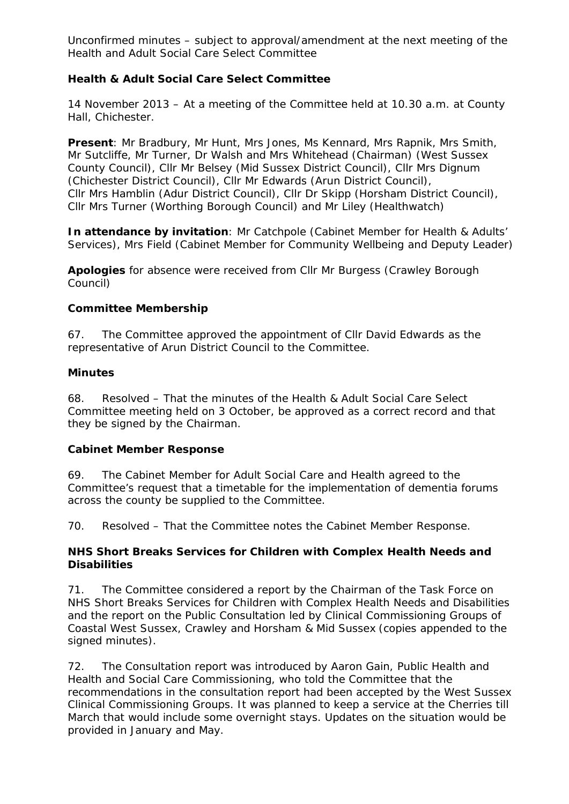## **Health & Adult Social Care Select Committee**

14 November 2013 – At a meeting of the Committee held at 10.30 a.m. at County Hall, Chichester.

**Present**: Mr Bradbury, Mr Hunt, Mrs Jones, Ms Kennard, Mrs Rapnik, Mrs Smith, Mr Sutcliffe, Mr Turner, Dr Walsh and Mrs Whitehead (Chairman) (West Sussex County Council), Cllr Mr Belsey (Mid Sussex District Council), Cllr Mrs Dignum (Chichester District Council), Cllr Mr Edwards (Arun District Council), Cllr Mrs Hamblin (Adur District Council), Cllr Dr Skipp (Horsham District Council), Cllr Mrs Turner (Worthing Borough Council) and Mr Liley (Healthwatch)

**In attendance by invitation**: Mr Catchpole (Cabinet Member for Health & Adults' Services), Mrs Field (Cabinet Member for Community Wellbeing and Deputy Leader)

**Apologies** for absence were received from Cllr Mr Burgess (Crawley Borough Council)

### **Committee Membership**

67. The Committee approved the appointment of Cllr David Edwards as the representative of Arun District Council to the Committee.

#### **Minutes**

68. Resolved – That the minutes of the Health & Adult Social Care Select Committee meeting held on 3 October, be approved as a correct record and that they be signed by the Chairman.

#### **Cabinet Member Response**

69. The Cabinet Member for Adult Social Care and Health agreed to the Committee's request that a timetable for the implementation of dementia forums across the county be supplied to the Committee.

70. Resolved – That the Committee notes the Cabinet Member Response.

#### **NHS Short Breaks Services for Children with Complex Health Needs and Disabilities**

71. The Committee considered a report by the Chairman of the Task Force on NHS Short Breaks Services for Children with Complex Health Needs and Disabilities and the report on the Public Consultation led by Clinical Commissioning Groups of Coastal West Sussex, Crawley and Horsham & Mid Sussex (copies appended to the signed minutes).

72. The Consultation report was introduced by Aaron Gain, Public Health and Health and Social Care Commissioning, who told the Committee that the recommendations in the consultation report had been accepted by the West Sussex Clinical Commissioning Groups. It was planned to keep a service at the Cherries till March that would include some overnight stays. Updates on the situation would be provided in January and May.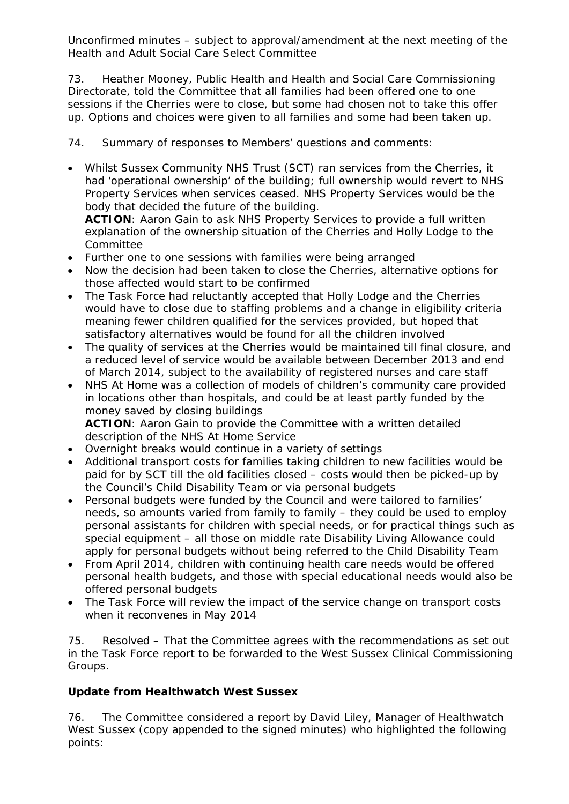73. Heather Mooney, Public Health and Health and Social Care Commissioning Directorate, told the Committee that all families had been offered one to one sessions if the Cherries were to close, but some had chosen not to take this offer up. Options and choices were given to all families and some had been taken up.

74. Summary of responses to Members' questions and comments:

• Whilst Sussex Community NHS Trust (SCT) ran services from the Cherries, it had 'operational ownership' of the building; full ownership would revert to NHS Property Services when services ceased. NHS Property Services would be the body that decided the future of the building.

**ACTION**: Aaron Gain to ask NHS Property Services to provide a full written explanation of the ownership situation of the Cherries and Holly Lodge to the Committee

- Further one to one sessions with families were being arranged
- Now the decision had been taken to close the Cherries, alternative options for those affected would start to be confirmed
- The Task Force had reluctantly accepted that Holly Lodge and the Cherries would have to close due to staffing problems and a change in eligibility criteria meaning fewer children qualified for the services provided, but hoped that satisfactory alternatives would be found for all the children involved
- The quality of services at the Cherries would be maintained till final closure, and a reduced level of service would be available between December 2013 and end of March 2014, subject to the availability of registered nurses and care staff
- NHS At Home was a collection of models of children's community care provided in locations other than hospitals, and could be at least partly funded by the money saved by closing buildings **ACTION**: Aaron Gain to provide the Committee with a written detailed description of the NHS At Home Service
- Overnight breaks would continue in a variety of settings
- Additional transport costs for families taking children to new facilities would be paid for by SCT till the old facilities closed – costs would then be picked-up by the Council's Child Disability Team or via personal budgets
- Personal budgets were funded by the Council and were tailored to families' needs, so amounts varied from family to family – they could be used to employ personal assistants for children with special needs, or for practical things such as special equipment – all those on middle rate Disability Living Allowance could apply for personal budgets without being referred to the Child Disability Team
- From April 2014, children with continuing health care needs would be offered personal health budgets, and those with special educational needs would also be offered personal budgets
- The Task Force will review the impact of the service change on transport costs when it reconvenes in May 2014

75. Resolved – That the Committee agrees with the recommendations as set out in the Task Force report to be forwarded to the West Sussex Clinical Commissioning Groups.

# **Update from Healthwatch West Sussex**

76. The Committee considered a report by David Liley, Manager of Healthwatch West Sussex (copy appended to the signed minutes) who highlighted the following points: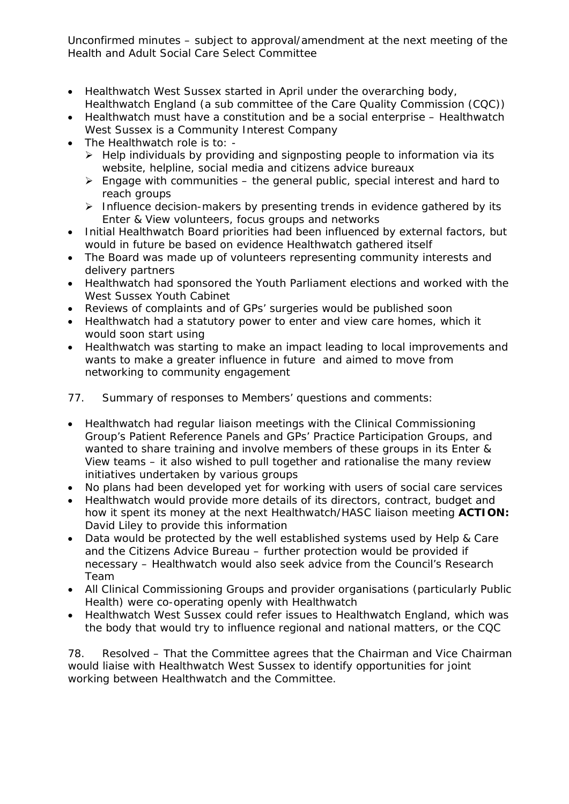- Healthwatch West Sussex started in April under the overarching body, Healthwatch England (a sub committee of the Care Quality Commission (CQC))
- Healthwatch must have a constitution and be a social enterprise Healthwatch West Sussex is a Community Interest Company
- The Healthwatch role is to:
	- $\triangleright$  Help individuals by providing and signposting people to information via its website, helpline, social media and citizens advice bureaux
	- $\triangleright$  Engage with communities the general public, special interest and hard to reach groups
	- $\triangleright$  Influence decision-makers by presenting trends in evidence gathered by its Enter & View volunteers, focus groups and networks
- Initial Healthwatch Board priorities had been influenced by external factors, but would in future be based on evidence Healthwatch gathered itself
- The Board was made up of volunteers representing community interests and delivery partners
- Healthwatch had sponsored the Youth Parliament elections and worked with the West Sussex Youth Cabinet
- Reviews of complaints and of GPs' surgeries would be published soon
- Healthwatch had a statutory power to enter and view care homes, which it would soon start using
- Healthwatch was starting to make an impact leading to local improvements and wants to make a greater influence in future and aimed to move from networking to community engagement
- 77. Summary of responses to Members' questions and comments:
- Healthwatch had regular liaison meetings with the Clinical Commissioning Group's Patient Reference Panels and GPs' Practice Participation Groups, and wanted to share training and involve members of these groups in its Enter & View teams – it also wished to pull together and rationalise the many review initiatives undertaken by various groups
- No plans had been developed yet for working with users of social care services
- Healthwatch would provide more details of its directors, contract, budget and how it spent its money at the next Healthwatch/HASC liaison meeting **ACTION:**  David Liley to provide this information
- Data would be protected by the well established systems used by Help & Care and the Citizens Advice Bureau – further protection would be provided if necessary – Healthwatch would also seek advice from the Council's Research Team
- All Clinical Commissioning Groups and provider organisations (particularly Public Health) were co-operating openly with Healthwatch
- Healthwatch West Sussex could refer issues to Healthwatch England, which was the body that would try to influence regional and national matters, or the CQC

78. Resolved – That the Committee agrees that the Chairman and Vice Chairman would liaise with Healthwatch West Sussex to identify opportunities for joint working between Healthwatch and the Committee.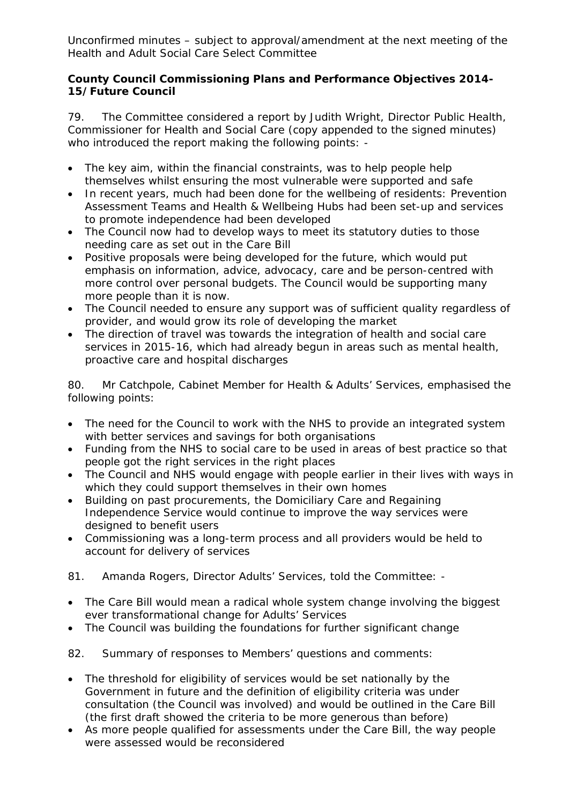## **County Council Commissioning Plans and Performance Objectives 2014- 15/Future Council**

79. The Committee considered a report by Judith Wright, Director Public Health, Commissioner for Health and Social Care (copy appended to the signed minutes) who introduced the report making the following points: -

- The key aim, within the financial constraints, was to help people help themselves whilst ensuring the most vulnerable were supported and safe
- In recent years, much had been done for the wellbeing of residents: Prevention Assessment Teams and Health & Wellbeing Hubs had been set-up and services to promote independence had been developed
- The Council now had to develop ways to meet its statutory duties to those needing care as set out in the Care Bill
- Positive proposals were being developed for the future, which would put emphasis on information, advice, advocacy, care and be person-centred with more control over personal budgets. The Council would be supporting many more people than it is now.
- The Council needed to ensure any support was of sufficient quality regardless of provider, and would grow its role of developing the market
- The direction of travel was towards the integration of health and social care services in 2015-16, which had already begun in areas such as mental health, proactive care and hospital discharges

80. Mr Catchpole, Cabinet Member for Health & Adults' Services, emphasised the following points:

- The need for the Council to work with the NHS to provide an integrated system with better services and savings for both organisations
- Funding from the NHS to social care to be used in areas of best practice so that people got the right services in the right places
- The Council and NHS would engage with people earlier in their lives with ways in which they could support themselves in their own homes
- Building on past procurements, the Domiciliary Care and Regaining Independence Service would continue to improve the way services were designed to benefit users
- Commissioning was a long-term process and all providers would be held to account for delivery of services
- 81. Amanda Rogers, Director Adults' Services, told the Committee: -
- The Care Bill would mean a radical whole system change involving the biggest ever transformational change for Adults' Services
- The Council was building the foundations for further significant change

82. Summary of responses to Members' questions and comments:

- The threshold for eligibility of services would be set nationally by the Government in future and the definition of eligibility criteria was under consultation (the Council was involved) and would be outlined in the Care Bill (the first draft showed the criteria to be more generous than before)
- As more people qualified for assessments under the Care Bill, the way people were assessed would be reconsidered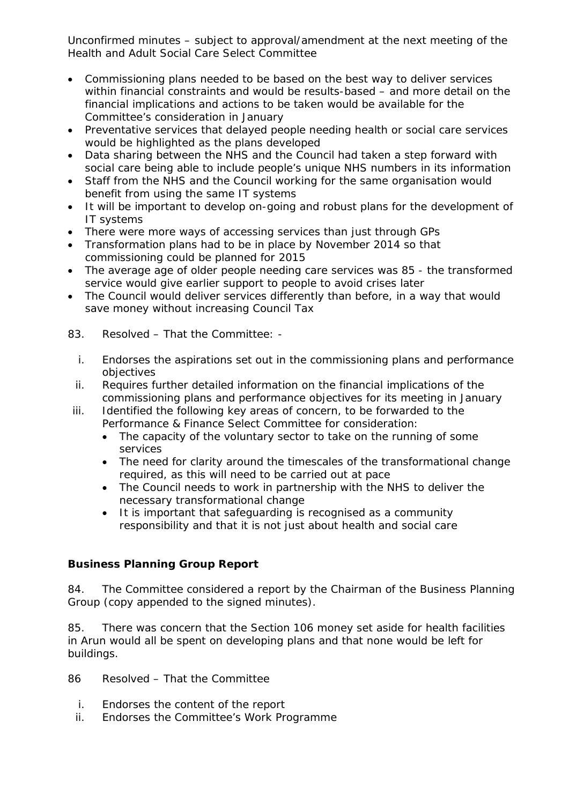- Commissioning plans needed to be based on the best way to deliver services within financial constraints and would be results-based – and more detail on the financial implications and actions to be taken would be available for the Committee's consideration in January
- Preventative services that delayed people needing health or social care services would be highlighted as the plans developed
- Data sharing between the NHS and the Council had taken a step forward with social care being able to include people's unique NHS numbers in its information
- Staff from the NHS and the Council working for the same organisation would benefit from using the same IT systems
- It will be important to develop on-going and robust plans for the development of IT systems
- There were more ways of accessing services than just through GPs
- Transformation plans had to be in place by November 2014 so that commissioning could be planned for 2015
- The average age of older people needing care services was 85 the transformed service would give earlier support to people to avoid crises later
- The Council would deliver services differently than before, in a way that would save money without increasing Council Tax
- 83. Resolved That the Committee:
	- i. Endorses the aspirations set out in the commissioning plans and performance objectives
- ii. Requires further detailed information on the financial implications of the commissioning plans and performance objectives for its meeting in January
- iii. Identified the following key areas of concern, to be forwarded to the Performance & Finance Select Committee for consideration:
	- The capacity of the voluntary sector to take on the running of some services
	- The need for clarity around the timescales of the transformational change required, as this will need to be carried out at pace
	- The Council needs to work in partnership with the NHS to deliver the necessary transformational change
	- It is important that safeguarding is recognised as a community responsibility and that it is not just about health and social care

# **Business Planning Group Report**

84. The Committee considered a report by the Chairman of the Business Planning Group (copy appended to the signed minutes).

85. There was concern that the Section 106 money set aside for health facilities in Arun would all be spent on developing plans and that none would be left for buildings.

86 Resolved – That the Committee

- i. Endorses the content of the report
- ii. Endorses the Committee's Work Programme